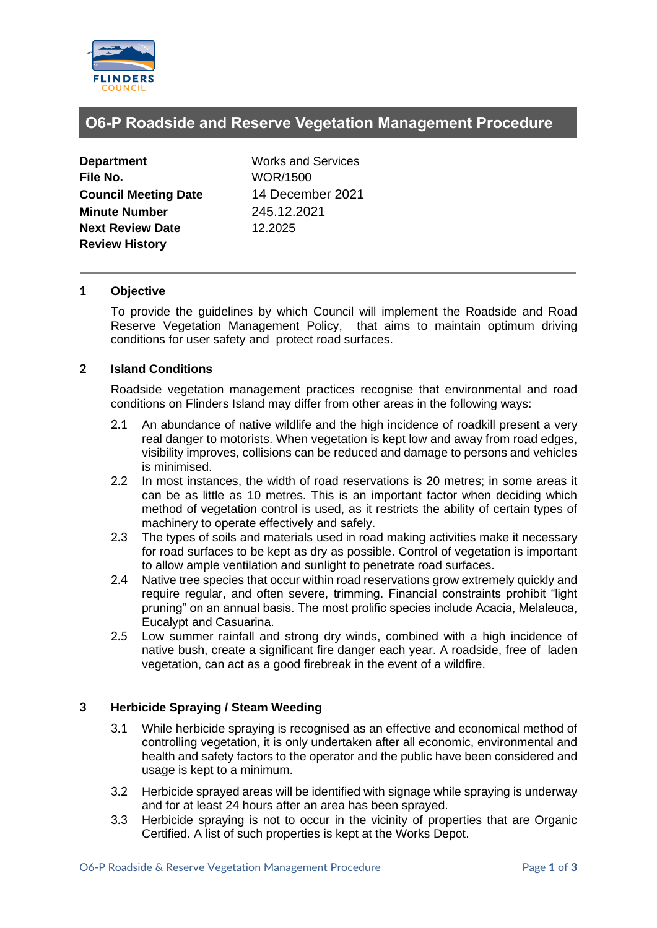

# **O6-P Roadside and Reserve Vegetation Management Procedure**

| <b>Department</b>           |
|-----------------------------|
| File No.                    |
| <b>Council Meeting Date</b> |
| <b>Minute Number</b>        |
| <b>Next Review Date</b>     |
| <b>Review History</b>       |

**Works and Services File No.** WOR/1500 **Council Meeting Date** 14 December 2021 **Minute Number** 245.12.2021 **Next Review Date** 12.2025

### **1 Objective**

To provide the guidelines by which Council will implement the Roadside and Road Reserve Vegetation Management Policy, that aims to maintain optimum driving conditions for user safety and protect road surfaces.

### **2 Island Conditions**

Roadside vegetation management practices recognise that environmental and road conditions on Flinders Island may differ from other areas in the following ways:

- 2.1 An abundance of native wildlife and the high incidence of roadkill present a very real danger to motorists. When vegetation is kept low and away from road edges, visibility improves, collisions can be reduced and damage to persons and vehicles is minimised.
- 2.2 In most instances, the width of road reservations is 20 metres; in some areas it can be as little as 10 metres. This is an important factor when deciding which method of vegetation control is used, as it restricts the ability of certain types of machinery to operate effectively and safely.
- 2.3 The types of soils and materials used in road making activities make it necessary for road surfaces to be kept as dry as possible. Control of vegetation is important to allow ample ventilation and sunlight to penetrate road surfaces.
- 2.4 Native tree species that occur within road reservations grow extremely quickly and require regular, and often severe, trimming. Financial constraints prohibit "light pruning" on an annual basis. The most prolific species include Acacia, Melaleuca, Eucalypt and Casuarina.
- 2.5 Low summer rainfall and strong dry winds, combined with a high incidence of native bush, create a significant fire danger each year. A roadside, free of laden vegetation, can act as a good firebreak in the event of a wildfire.

# **3 Herbicide Spraying / Steam Weeding**

- 3.1 While herbicide spraying is recognised as an effective and economical method of controlling vegetation, it is only undertaken after all economic, environmental and health and safety factors to the operator and the public have been considered and usage is kept to a minimum.
- 3.2 Herbicide sprayed areas will be identified with signage while spraying is underway and for at least 24 hours after an area has been sprayed.
- 3.3 Herbicide spraying is not to occur in the vicinity of properties that are Organic Certified. A list of such properties is kept at the Works Depot.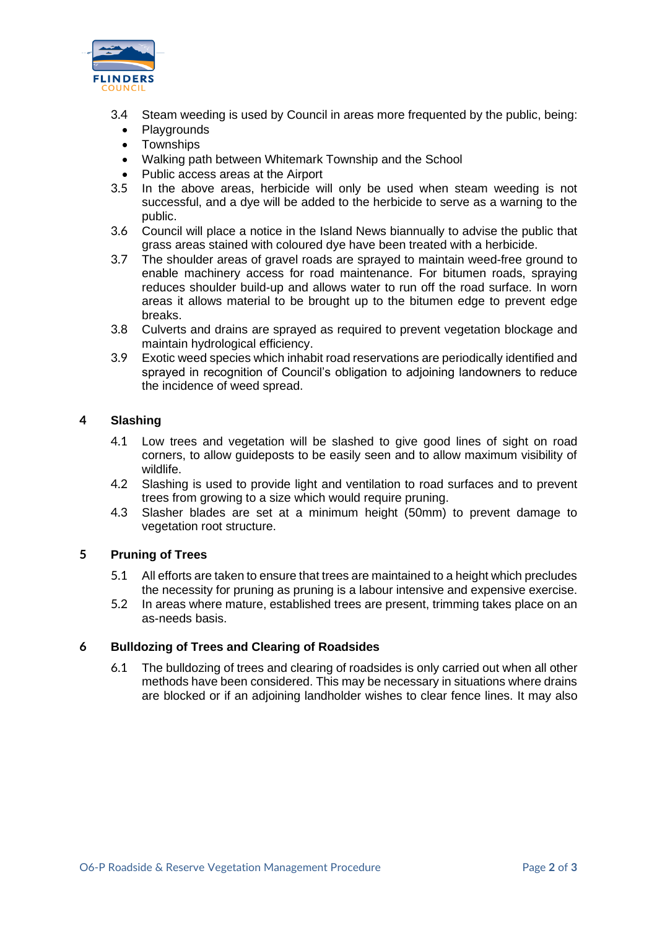

- 3.4 Steam weeding is used by Council in areas more frequented by the public, being:
	- **Playgrounds**
	- Townships
	- Walking path between Whitemark Township and the School
	- Public access areas at the Airport
- 3.5 In the above areas, herbicide will only be used when steam weeding is not successful, and a dye will be added to the herbicide to serve as a warning to the public.
- 3.6 Council will place a notice in the Island News biannually to advise the public that grass areas stained with coloured dye have been treated with a herbicide.
- 3.7 The shoulder areas of gravel roads are sprayed to maintain weed-free ground to enable machinery access for road maintenance. For bitumen roads, spraying reduces shoulder build-up and allows water to run off the road surface. In worn areas it allows material to be brought up to the bitumen edge to prevent edge breaks.
- 3.8 Culverts and drains are sprayed as required to prevent vegetation blockage and maintain hydrological efficiency.
- 3.9 Exotic weed species which inhabit road reservations are periodically identified and sprayed in recognition of Council's obligation to adjoining landowners to reduce the incidence of weed spread.

# **4 Slashing**

- 4.1 Low trees and vegetation will be slashed to give good lines of sight on road corners, to allow guideposts to be easily seen and to allow maximum visibility of wildlife.
- 4.2 Slashing is used to provide light and ventilation to road surfaces and to prevent trees from growing to a size which would require pruning.
- 4.3 Slasher blades are set at a minimum height (50mm) to prevent damage to vegetation root structure.

# **5 Pruning of Trees**

- 5.1 All efforts are taken to ensure that trees are maintained to a height which precludes the necessity for pruning as pruning is a labour intensive and expensive exercise.
- 5.2 In areas where mature, established trees are present, trimming takes place on an as-needs basis.

# **6 Bulldozing of Trees and Clearing of Roadsides**

6.1 The bulldozing of trees and clearing of roadsides is only carried out when all other methods have been considered. This may be necessary in situations where drains are blocked or if an adjoining landholder wishes to clear fence lines. It may also